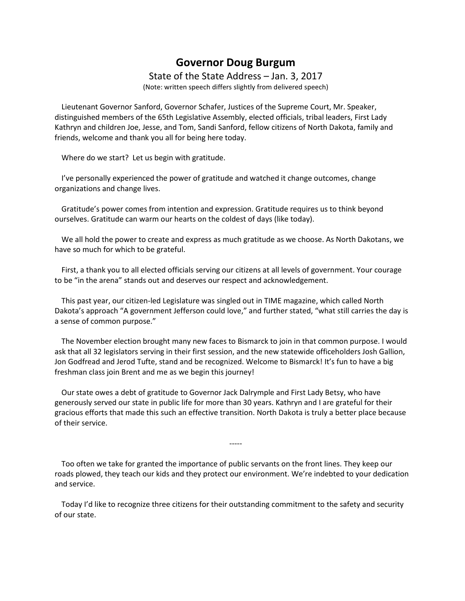## **Governor Doug Burgum**

## State of the State Address – Jan. 3, 2017

(Note: written speech differs slightly from delivered speech)

Lieutenant Governor Sanford, Governor Schafer, Justices of the Supreme Court, Mr. Speaker, distinguished members of the 65th Legislative Assembly, elected officials, tribal leaders, First Lady Kathryn and children Joe, Jesse, and Tom, Sandi Sanford, fellow citizens of North Dakota, family and friends, welcome and thank you all for being here today.

Where do we start? Let us begin with gratitude.

I've personally experienced the power of gratitude and watched it change outcomes, change organizations and change lives.

Gratitude's power comes from intention and expression. Gratitude requires us to think beyond ourselves. Gratitude can warm our hearts on the coldest of days (like today).

We all hold the power to create and express as much gratitude as we choose. As North Dakotans, we have so much for which to be grateful.

First, a thank you to all elected officials serving our citizens at all levels of government. Your courage to be "in the arena" stands out and deserves our respect and acknowledgement.

This past year, our citizen-led Legislature was singled out in TIME magazine, which called North Dakota's approach "A government Jefferson could love," and further stated, "what still carries the day is a sense of common purpose."

The November election brought many new faces to Bismarck to join in that common purpose. I would ask that all 32 legislators serving in their first session, and the new statewide officeholders Josh Gallion, Jon Godfread and Jerod Tufte, stand and be recognized. Welcome to Bismarck! It's fun to have a big freshman class join Brent and me as we begin this journey!

Our state owes a debt of gratitude to Governor Jack Dalrymple and First Lady Betsy, who have generously served our state in public life for more than 30 years. Kathryn and I are grateful for their gracious efforts that made this such an effective transition. North Dakota is truly a better place because of their service.

Too often we take for granted the importance of public servants on the front lines. They keep our roads plowed, they teach our kids and they protect our environment. We're indebted to your dedication and service.

-----

Today I'd like to recognize three citizens for their outstanding commitment to the safety and security of our state.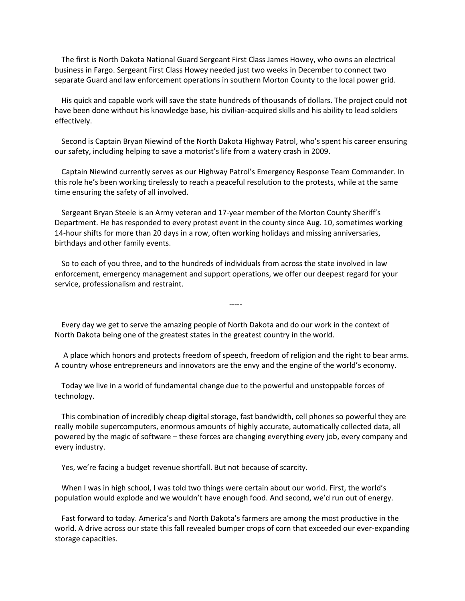The first is North Dakota National Guard Sergeant First Class James Howey, who owns an electrical business in Fargo. Sergeant First Class Howey needed just two weeks in December to connect two separate Guard and law enforcement operations in southern Morton County to the local power grid.

His quick and capable work will save the state hundreds of thousands of dollars. The project could not have been done without his knowledge base, his civilian-acquired skills and his ability to lead soldiers effectively.

Second is Captain Bryan Niewind of the North Dakota Highway Patrol, who's spent his career ensuring our safety, including helping to save a motorist's life from a watery crash in 2009.

Captain Niewind currently serves as our Highway Patrol's Emergency Response Team Commander. In this role he's been working tirelessly to reach a peaceful resolution to the protests, while at the same time ensuring the safety of all involved.

Sergeant Bryan Steele is an Army veteran and 17-year member of the Morton County Sheriff's Department. He has responded to every protest event in the county since Aug. 10, sometimes working 14-hour shifts for more than 20 days in a row, often working holidays and missing anniversaries, birthdays and other family events.

So to each of you three, and to the hundreds of individuals from across the state involved in law enforcement, emergency management and support operations, we offer our deepest regard for your service, professionalism and restraint.

Every day we get to serve the amazing people of North Dakota and do our work in the context of North Dakota being one of the greatest states in the greatest country in the world.

A place which honors and protects freedom of speech, freedom of religion and the right to bear arms. A country whose entrepreneurs and innovators are the envy and the engine of the world's economy.

**-----**

Today we live in a world of fundamental change due to the powerful and unstoppable forces of technology.

This combination of incredibly cheap digital storage, fast bandwidth, cell phones so powerful they are really mobile supercomputers, enormous amounts of highly accurate, automatically collected data, all powered by the magic of software – these forces are changing everything every job, every company and every industry.

Yes, we're facing a budget revenue shortfall. But not because of scarcity.

When I was in high school, I was told two things were certain about our world. First, the world's population would explode and we wouldn't have enough food. And second, we'd run out of energy.

Fast forward to today. America's and North Dakota's farmers are among the most productive in the world. A drive across our state this fall revealed bumper crops of corn that exceeded our ever-expanding storage capacities.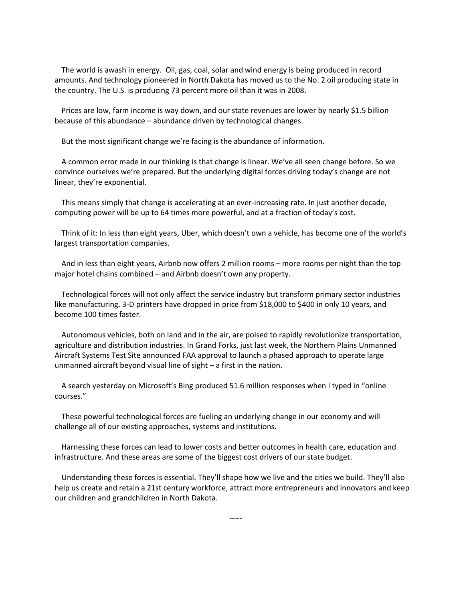The world is awash in energy. Oil, gas, coal, solar and wind energy is being produced in record amounts. And technology pioneered in North Dakota has moved us to the No. 2 oil producing state in the country. The U.S. is producing 73 percent more oil than it was in 2008.

Prices are low, farm income is way down, and our state revenues are lower by nearly \$1.5 billion because of this abundance – abundance driven by technological changes.

But the most significant change we're facing is the abundance of information.

A common error made in our thinking is that change is linear. We've all seen change before. So we convince ourselves we're prepared. But the underlying digital forces driving today's change are not linear, they're exponential.

This means simply that change is accelerating at an ever-increasing rate. In just another decade, computing power will be up to 64 times more powerful, and at a fraction of today's cost.

Think of it: In less than eight years, Uber, which doesn't own a vehicle, has become one of the world's largest transportation companies.

And in less than eight years, Airbnb now offers 2 million rooms – more rooms per night than the top major hotel chains combined – and Airbnb doesn't own any property.

Technological forces will not only affect the service industry but transform primary sector industries like manufacturing. 3-D printers have dropped in price from \$18,000 to \$400 in only 10 years, and become 100 times faster.

Autonomous vehicles, both on land and in the air, are poised to rapidly revolutionize transportation, agriculture and distribution industries. In Grand Forks, just last week, the Northern Plains Unmanned Aircraft Systems Test Site announced FAA approval to launch a phased approach to operate large unmanned aircraft beyond visual line of sight – a first in the nation.

A search yesterday on Microsoft's Bing produced 51.6 million responses when I typed in "online courses."

These powerful technological forces are fueling an underlying change in our economy and will challenge all of our existing approaches, systems and institutions.

Harnessing these forces can lead to lower costs and better outcomes in health care, education and infrastructure. And these areas are some of the biggest cost drivers of our state budget.

Understanding these forces is essential. They'll shape how we live and the cities we build. They'll also help us create and retain a 21st century workforce, attract more entrepreneurs and innovators and keep our children and grandchildren in North Dakota.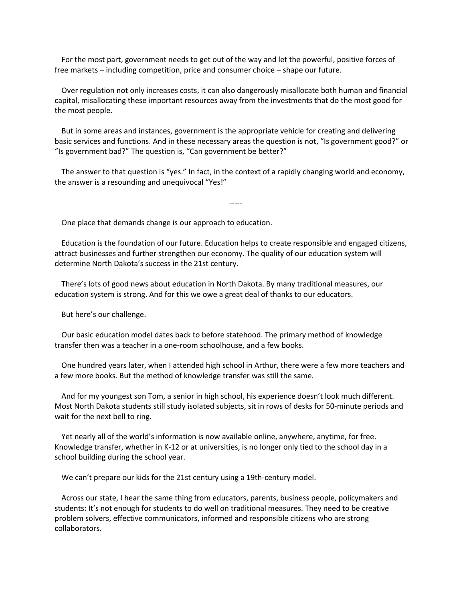For the most part, government needs to get out of the way and let the powerful, positive forces of free markets – including competition, price and consumer choice – shape our future.

Over regulation not only increases costs, it can also dangerously misallocate both human and financial capital, misallocating these important resources away from the investments that do the most good for the most people.

But in some areas and instances, government is the appropriate vehicle for creating and delivering basic services and functions. And in these necessary areas the question is not, "Is government good?" or "Is government bad?" The question is, "Can government be better?"

The answer to that question is "yes." In fact, in the context of a rapidly changing world and economy, the answer is a resounding and unequivocal "Yes!"

-----

One place that demands change is our approach to education.

Education is the foundation of our future. Education helps to create responsible and engaged citizens, attract businesses and further strengthen our economy. The quality of our education system will determine North Dakota's success in the 21st century.

There's lots of good news about education in North Dakota. By many traditional measures, our education system is strong. And for this we owe a great deal of thanks to our educators.

But here's our challenge.

Our basic education model dates back to before statehood. The primary method of knowledge transfer then was a teacher in a one-room schoolhouse, and a few books.

One hundred years later, when I attended high school in Arthur, there were a few more teachers and a few more books. But the method of knowledge transfer was still the same.

And for my youngest son Tom, a senior in high school, his experience doesn't look much different. Most North Dakota students still study isolated subjects, sit in rows of desks for 50-minute periods and wait for the next bell to ring.

Yet nearly all of the world's information is now available online, anywhere, anytime, for free. Knowledge transfer, whether in K-12 or at universities, is no longer only tied to the school day in a school building during the school year.

We can't prepare our kids for the 21st century using a 19th-century model.

Across our state, I hear the same thing from educators, parents, business people, policymakers and students: It's not enough for students to do well on traditional measures. They need to be creative problem solvers, effective communicators, informed and responsible citizens who are strong collaborators.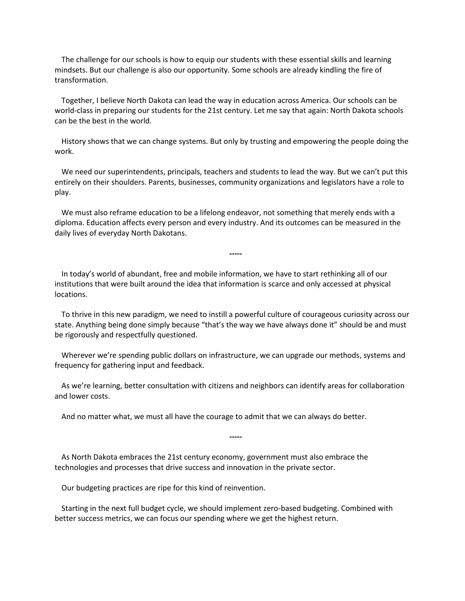The challenge for our schools is how to equip our students with these essential skills and learning mindsets. But our challenge is also our opportunity. Some schools are already kindling the fire of transformation.

Together, I believe North Dakota can lead the way in education across America. Our schools can be world-class in preparing our students for the 21st century. Let me say that again: North Dakota schools can be the best in the world.

History shows that we can change systems. But only by trusting and empowering the people doing the work.

We need our superintendents, principals, teachers and students to lead the way. But we can't put this entirely on their shoulders. Parents, businesses, community organizations and legislators have a role to play.

We must also reframe education to be a lifelong endeavor, not something that merely ends with a diploma. Education affects every person and every industry. And its outcomes can be measured in the daily lives of everyday North Dakotans.

**-----**

In today's world of abundant, free and mobile information, we have to start rethinking all of our institutions that were built around the idea that information is scarce and only accessed at physical locations.

To thrive in this new paradigm, we need to instill a powerful culture of courageous curiosity across our state. Anything being done simply because "that's the way we have always done it" should be and must be rigorously and respectfully questioned.

Wherever we're spending public dollars on infrastructure, we can upgrade our methods, systems and frequency for gathering input and feedback.

As we're learning, better consultation with citizens and neighbors can identify areas for collaboration and lower costs.

**-----**

And no matter what, we must all have the courage to admit that we can always do better.

As North Dakota embraces the 21st century economy, government must also embrace the technologies and processes that drive success and innovation in the private sector.

Our budgeting practices are ripe for this kind of reinvention.

Starting in the next full budget cycle, we should implement zero-based budgeting. Combined with better success metrics, we can focus our spending where we get the highest return.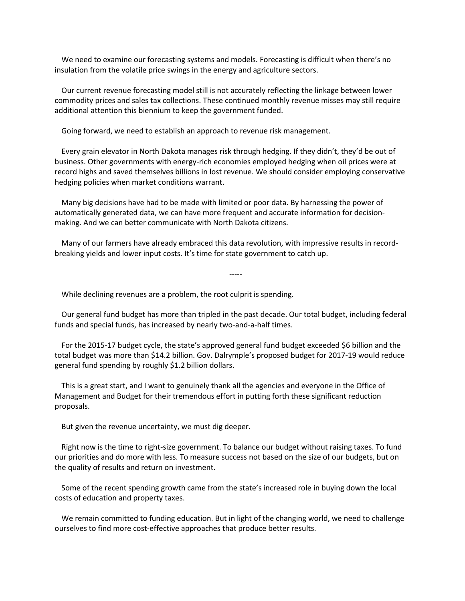We need to examine our forecasting systems and models. Forecasting is difficult when there's no insulation from the volatile price swings in the energy and agriculture sectors.

Our current revenue forecasting model still is not accurately reflecting the linkage between lower commodity prices and sales tax collections. These continued monthly revenue misses may still require additional attention this biennium to keep the government funded.

Going forward, we need to establish an approach to revenue risk management.

Every grain elevator in North Dakota manages risk through hedging. If they didn't, they'd be out of business. Other governments with energy-rich economies employed hedging when oil prices were at record highs and saved themselves billions in lost revenue. We should consider employing conservative hedging policies when market conditions warrant.

Many big decisions have had to be made with limited or poor data. By harnessing the power of automatically generated data, we can have more frequent and accurate information for decisionmaking. And we can better communicate with North Dakota citizens.

Many of our farmers have already embraced this data revolution, with impressive results in recordbreaking yields and lower input costs. It's time for state government to catch up.

-----

While declining revenues are a problem, the root culprit is spending.

Our general fund budget has more than tripled in the past decade. Our total budget, including federal funds and special funds, has increased by nearly two-and-a-half times.

For the 2015-17 budget cycle, the state's approved general fund budget exceeded \$6 billion and the total budget was more than \$14.2 billion. Gov. Dalrymple's proposed budget for 2017-19 would reduce general fund spending by roughly \$1.2 billion dollars.

This is a great start, and I want to genuinely thank all the agencies and everyone in the Office of Management and Budget for their tremendous effort in putting forth these significant reduction proposals.

But given the revenue uncertainty, we must dig deeper.

Right now is the time to right-size government. To balance our budget without raising taxes. To fund our priorities and do more with less. To measure success not based on the size of our budgets, but on the quality of results and return on investment.

Some of the recent spending growth came from the state's increased role in buying down the local costs of education and property taxes.

We remain committed to funding education. But in light of the changing world, we need to challenge ourselves to find more cost-effective approaches that produce better results.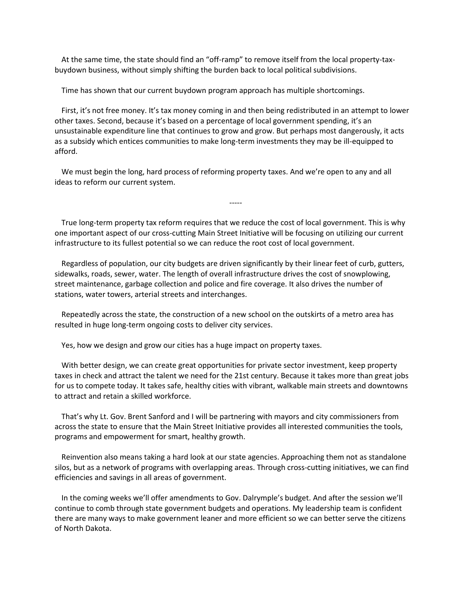At the same time, the state should find an "off-ramp" to remove itself from the local property-taxbuydown business, without simply shifting the burden back to local political subdivisions.

Time has shown that our current buydown program approach has multiple shortcomings.

First, it's not free money. It's tax money coming in and then being redistributed in an attempt to lower other taxes. Second, because it's based on a percentage of local government spending, it's an unsustainable expenditure line that continues to grow and grow. But perhaps most dangerously, it acts as a subsidy which entices communities to make long-term investments they may be ill-equipped to afford.

We must begin the long, hard process of reforming property taxes. And we're open to any and all ideas to reform our current system.

True long-term property tax reform requires that we reduce the cost of local government. This is why one important aspect of our cross-cutting Main Street Initiative will be focusing on utilizing our current infrastructure to its fullest potential so we can reduce the root cost of local government.

-----

Regardless of population, our city budgets are driven significantly by their linear feet of curb, gutters, sidewalks, roads, sewer, water. The length of overall infrastructure drives the cost of snowplowing, street maintenance, garbage collection and police and fire coverage. It also drives the number of stations, water towers, arterial streets and interchanges.

Repeatedly across the state, the construction of a new school on the outskirts of a metro area has resulted in huge long-term ongoing costs to deliver city services.

Yes, how we design and grow our cities has a huge impact on property taxes.

With better design, we can create great opportunities for private sector investment, keep property taxes in check and attract the talent we need for the 21st century. Because it takes more than great jobs for us to compete today. It takes safe, healthy cities with vibrant, walkable main streets and downtowns to attract and retain a skilled workforce.

That's why Lt. Gov. Brent Sanford and I will be partnering with mayors and city commissioners from across the state to ensure that the Main Street Initiative provides all interested communities the tools, programs and empowerment for smart, healthy growth.

Reinvention also means taking a hard look at our state agencies. Approaching them not as standalone silos, but as a network of programs with overlapping areas. Through cross-cutting initiatives, we can find efficiencies and savings in all areas of government.

In the coming weeks we'll offer amendments to Gov. Dalrymple's budget. And after the session we'll continue to comb through state government budgets and operations. My leadership team is confident there are many ways to make government leaner and more efficient so we can better serve the citizens of North Dakota.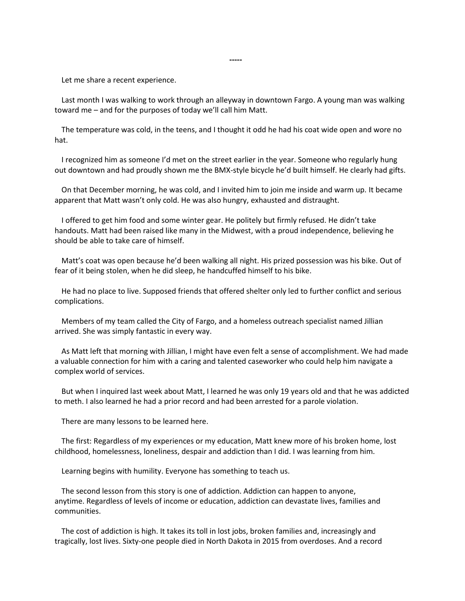Let me share a recent experience.

Last month I was walking to work through an alleyway in downtown Fargo. A young man was walking toward me – and for the purposes of today we'll call him Matt.

The temperature was cold, in the teens, and I thought it odd he had his coat wide open and wore no hat.

I recognized him as someone I'd met on the street earlier in the year. Someone who regularly hung out downtown and had proudly shown me the BMX-style bicycle he'd built himself. He clearly had gifts.

On that December morning, he was cold, and I invited him to join me inside and warm up. It became apparent that Matt wasn't only cold. He was also hungry, exhausted and distraught.

I offered to get him food and some winter gear. He politely but firmly refused. He didn't take handouts. Matt had been raised like many in the Midwest, with a proud independence, believing he should be able to take care of himself.

Matt's coat was open because he'd been walking all night. His prized possession was his bike. Out of fear of it being stolen, when he did sleep, he handcuffed himself to his bike.

He had no place to live. Supposed friends that offered shelter only led to further conflict and serious complications.

Members of my team called the City of Fargo, and a homeless outreach specialist named Jillian arrived. She was simply fantastic in every way.

As Matt left that morning with Jillian, I might have even felt a sense of accomplishment. We had made a valuable connection for him with a caring and talented caseworker who could help him navigate a complex world of services.

But when I inquired last week about Matt, I learned he was only 19 years old and that he was addicted to meth. I also learned he had a prior record and had been arrested for a parole violation.

There are many lessons to be learned here.

The first: Regardless of my experiences or my education, Matt knew more of his broken home, lost childhood, homelessness, loneliness, despair and addiction than I did. I was learning from him.

Learning begins with humility. Everyone has something to teach us.

The second lesson from this story is one of addiction. Addiction can happen to anyone, anytime. Regardless of levels of income or education, addiction can devastate lives, families and communities.

The cost of addiction is high. It takes its toll in lost jobs, broken families and, increasingly and tragically, lost lives. Sixty-one people died in North Dakota in 2015 from overdoses. And a record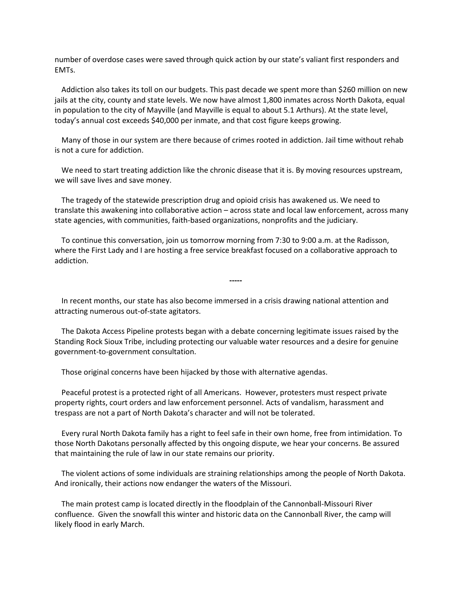number of overdose cases were saved through quick action by our state's valiant first responders and EMTs.

Addiction also takes its toll on our budgets. This past decade we spent more than \$260 million on new jails at the city, county and state levels. We now have almost 1,800 inmates across North Dakota, equal in population to the city of Mayville (and Mayville is equal to about 5.1 Arthurs). At the state level, today's annual cost exceeds \$40,000 per inmate, and that cost figure keeps growing.

Many of those in our system are there because of crimes rooted in addiction. Jail time without rehab is not a cure for addiction.

We need to start treating addiction like the chronic disease that it is. By moving resources upstream, we will save lives and save money.

The tragedy of the statewide prescription drug and opioid crisis has awakened us. We need to translate this awakening into collaborative action – across state and local law enforcement, across many state agencies, with communities, faith-based organizations, nonprofits and the judiciary.

To continue this conversation, join us tomorrow morning from 7:30 to 9:00 a.m. at the Radisson, where the First Lady and I are hosting a free service breakfast focused on a collaborative approach to addiction.

**-----**

In recent months, our state has also become immersed in a crisis drawing national attention and attracting numerous out-of-state agitators.

The Dakota Access Pipeline protests began with a debate concerning legitimate issues raised by the Standing Rock Sioux Tribe, including protecting our valuable water resources and a desire for genuine government-to-government consultation.

Those original concerns have been hijacked by those with alternative agendas.

Peaceful protest is a protected right of all Americans. However, protesters must respect private property rights, court orders and law enforcement personnel. Acts of vandalism, harassment and trespass are not a part of North Dakota's character and will not be tolerated.

Every rural North Dakota family has a right to feel safe in their own home, free from intimidation. To those North Dakotans personally affected by this ongoing dispute, we hear your concerns. Be assured that maintaining the rule of law in our state remains our priority.

The violent actions of some individuals are straining relationships among the people of North Dakota. And ironically, their actions now endanger the waters of the Missouri.

The main protest camp is located directly in the floodplain of the Cannonball-Missouri River confluence. Given the snowfall this winter and historic data on the Cannonball River, the camp will likely flood in early March.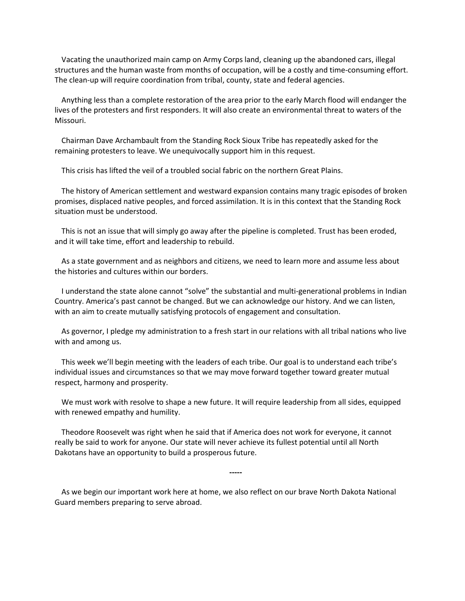Vacating the unauthorized main camp on Army Corps land, cleaning up the abandoned cars, illegal structures and the human waste from months of occupation, will be a costly and time-consuming effort. The clean-up will require coordination from tribal, county, state and federal agencies.

Anything less than a complete restoration of the area prior to the early March flood will endanger the lives of the protesters and first responders. It will also create an environmental threat to waters of the Missouri.

Chairman Dave Archambault from the Standing Rock Sioux Tribe has repeatedly asked for the remaining protesters to leave. We unequivocally support him in this request.

This crisis has lifted the veil of a troubled social fabric on the northern Great Plains.

The history of American settlement and westward expansion contains many tragic episodes of broken promises, displaced native peoples, and forced assimilation. It is in this context that the Standing Rock situation must be understood.

This is not an issue that will simply go away after the pipeline is completed. Trust has been eroded, and it will take time, effort and leadership to rebuild.

As a state government and as neighbors and citizens, we need to learn more and assume less about the histories and cultures within our borders.

I understand the state alone cannot "solve" the substantial and multi-generational problems in Indian Country. America's past cannot be changed. But we can acknowledge our history. And we can listen, with an aim to create mutually satisfying protocols of engagement and consultation.

As governor, I pledge my administration to a fresh start in our relations with all tribal nations who live with and among us.

This week we'll begin meeting with the leaders of each tribe. Our goal is to understand each tribe's individual issues and circumstances so that we may move forward together toward greater mutual respect, harmony and prosperity.

We must work with resolve to shape a new future. It will require leadership from all sides, equipped with renewed empathy and humility.

Theodore Roosevelt was right when he said that if America does not work for everyone, it cannot really be said to work for anyone. Our state will never achieve its fullest potential until all North Dakotans have an opportunity to build a prosperous future.

As we begin our important work here at home, we also reflect on our brave North Dakota National Guard members preparing to serve abroad.

**-----**